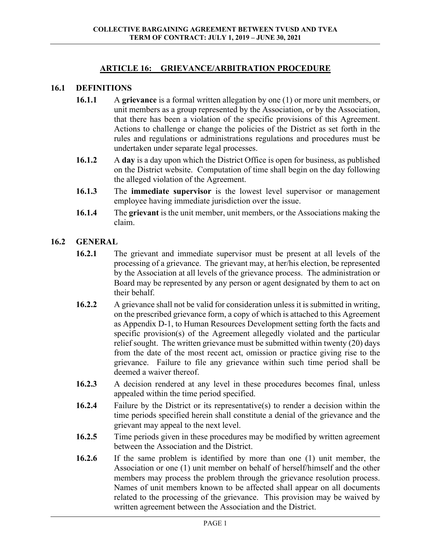### **ARTICLE 16: GRIEVANCE/ARBITRATION PROCEDURE**

#### **16.1 DEFINITIONS**

- **16.1.1** A **grievance** is a formal written allegation by one (1) or more unit members, or unit members as a group represented by the Association, or by the Association, that there has been a violation of the specific provisions of this Agreement. Actions to challenge or change the policies of the District as set forth in the rules and regulations or administrations regulations and procedures must be undertaken under separate legal processes.
- **16.1.2** A **day** is a day upon which the District Office is open for business, as published on the District website. Computation of time shall begin on the day following the alleged violation of the Agreement.
- **16.1.3** The **immediate supervisor** is the lowest level supervisor or management employee having immediate jurisdiction over the issue.
- **16.1.4** The **grievant** is the unit member, unit members, or the Associations making the claim.

### **16.2 GENERAL**

- **16.2.1** The grievant and immediate supervisor must be present at all levels of the processing of a grievance. The grievant may, at her/his election, be represented by the Association at all levels of the grievance process. The administration or Board may be represented by any person or agent designated by them to act on their behalf.
- **16.2.2** A grievance shall not be valid for consideration unless it is submitted in writing, on the prescribed grievance form, a copy of which is attached to this Agreement as Appendix D-1, to Human Resources Development setting forth the facts and specific provision(s) of the Agreement allegedly violated and the particular relief sought. The written grievance must be submitted within twenty (20) days from the date of the most recent act, omission or practice giving rise to the grievance. Failure to file any grievance within such time period shall be deemed a waiver thereof.
- **16.2.3** A decision rendered at any level in these procedures becomes final, unless appealed within the time period specified.
- **16.2.4** Failure by the District or its representative(s) to render a decision within the time periods specified herein shall constitute a denial of the grievance and the grievant may appeal to the next level.
- **16.2.5** Time periods given in these procedures may be modified by written agreement between the Association and the District.
- **16.2.6** If the same problem is identified by more than one (1) unit member, the Association or one (1) unit member on behalf of herself/himself and the other members may process the problem through the grievance resolution process. Names of unit members known to be affected shall appear on all documents related to the processing of the grievance. This provision may be waived by written agreement between the Association and the District.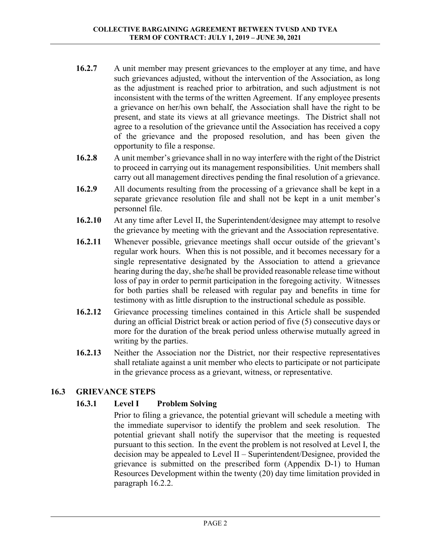- **16.2.7** A unit member may present grievances to the employer at any time, and have such grievances adjusted, without the intervention of the Association, as long as the adjustment is reached prior to arbitration, and such adjustment is not inconsistent with the terms of the written Agreement. If any employee presents a grievance on her/his own behalf, the Association shall have the right to be present, and state its views at all grievance meetings. The District shall not agree to a resolution of the grievance until the Association has received a copy of the grievance and the proposed resolution, and has been given the opportunity to file a response.
- **16.2.8** A unit member's grievance shall in no way interfere with the right of the District to proceed in carrying out its management responsibilities. Unit members shall carry out all management directives pending the final resolution of a grievance.
- **16.2.9** All documents resulting from the processing of a grievance shall be kept in a separate grievance resolution file and shall not be kept in a unit member's personnel file.
- **16.2.10** At any time after Level II, the Superintendent/designee may attempt to resolve the grievance by meeting with the grievant and the Association representative.
- **16.2.11** Whenever possible, grievance meetings shall occur outside of the grievant's regular work hours. When this is not possible, and it becomes necessary for a single representative designated by the Association to attend a grievance hearing during the day, she/he shall be provided reasonable release time without loss of pay in order to permit participation in the foregoing activity. Witnesses for both parties shall be released with regular pay and benefits in time for testimony with as little disruption to the instructional schedule as possible.
- **16.2.12** Grievance processing timelines contained in this Article shall be suspended during an official District break or action period of five (5) consecutive days or more for the duration of the break period unless otherwise mutually agreed in writing by the parties.
- **16.2.13** Neither the Association nor the District, nor their respective representatives shall retaliate against a unit member who elects to participate or not participate in the grievance process as a grievant, witness, or representative.

# **16.3 GRIEVANCE STEPS**

# **16.3.1 Level I Problem Solving**

Prior to filing a grievance, the potential grievant will schedule a meeting with the immediate supervisor to identify the problem and seek resolution. The potential grievant shall notify the supervisor that the meeting is requested pursuant to this section. In the event the problem is not resolved at Level I, the decision may be appealed to Level II – Superintendent/Designee, provided the grievance is submitted on the prescribed form (Appendix D-1) to Human Resources Development within the twenty (20) day time limitation provided in paragraph 16.2.2.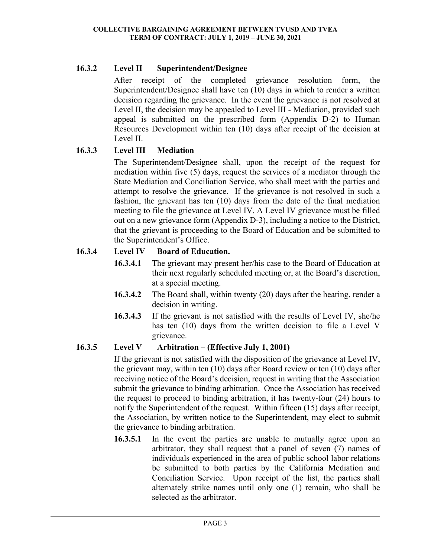# **16.3.2 Level II Superintendent/Designee**

After receipt of the completed grievance resolution form, the Superintendent/Designee shall have ten (10) days in which to render a written decision regarding the grievance. In the event the grievance is not resolved at Level II, the decision may be appealed to Level III - Mediation, provided such appeal is submitted on the prescribed form (Appendix D-2) to Human Resources Development within ten (10) days after receipt of the decision at Level II.

# **16.3.3 Level III Mediation**

 The Superintendent/Designee shall, upon the receipt of the request for mediation within five (5) days, request the services of a mediator through the State Mediation and Conciliation Service, who shall meet with the parties and attempt to resolve the grievance. If the grievance is not resolved in such a fashion, the grievant has ten (10) days from the date of the final mediation meeting to file the grievance at Level IV. A Level IV grievance must be filled out on a new grievance form (Appendix D-3), including a notice to the District, that the grievant is proceeding to the Board of Education and be submitted to the Superintendent's Office.

# **16.3.4 Level IV Board of Education.**

- **16.3.4.1** The grievant may present her/his case to the Board of Education at their next regularly scheduled meeting or, at the Board's discretion, at a special meeting.
- **16.3.4.2** The Board shall, within twenty (20) days after the hearing, render a decision in writing.
- **16.3.4.3** If the grievant is not satisfied with the results of Level IV, she/he has ten (10) days from the written decision to file a Level V grievance.

# **16.3.5 Level V Arbitration – (Effective July 1, 2001)**

 If the grievant is not satisfied with the disposition of the grievance at Level IV, the grievant may, within ten (10) days after Board review or ten (10) days after receiving notice of the Board's decision, request in writing that the Association submit the grievance to binding arbitration. Once the Association has received the request to proceed to binding arbitration, it has twenty-four (24) hours to notify the Superintendent of the request. Within fifteen (15) days after receipt, the Association, by written notice to the Superintendent, may elect to submit the grievance to binding arbitration.

**16.3.5.1** In the event the parties are unable to mutually agree upon an arbitrator, they shall request that a panel of seven (7) names of individuals experienced in the area of public school labor relations be submitted to both parties by the California Mediation and Conciliation Service. Upon receipt of the list, the parties shall alternately strike names until only one (1) remain, who shall be selected as the arbitrator.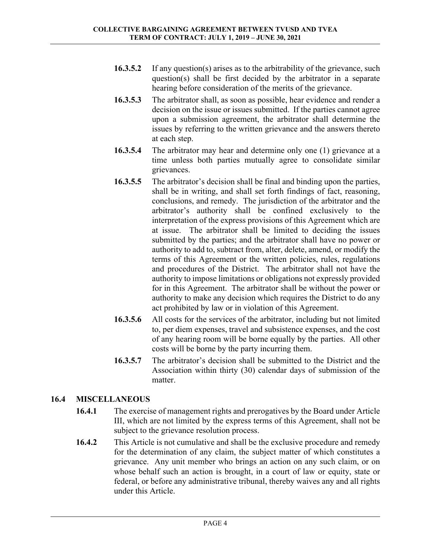- **16.3.5.2** If any question(s) arises as to the arbitrability of the grievance, such question(s) shall be first decided by the arbitrator in a separate hearing before consideration of the merits of the grievance.
- **16.3.5.3** The arbitrator shall, as soon as possible, hear evidence and render a decision on the issue or issues submitted. If the parties cannot agree upon a submission agreement, the arbitrator shall determine the issues by referring to the written grievance and the answers thereto at each step.
- **16.3.5.4** The arbitrator may hear and determine only one (1) grievance at a time unless both parties mutually agree to consolidate similar grievances.
- **16.3.5.5** The arbitrator's decision shall be final and binding upon the parties, shall be in writing, and shall set forth findings of fact, reasoning, conclusions, and remedy. The jurisdiction of the arbitrator and the arbitrator's authority shall be confined exclusively to the interpretation of the express provisions of this Agreement which are at issue. The arbitrator shall be limited to deciding the issues submitted by the parties; and the arbitrator shall have no power or authority to add to, subtract from, alter, delete, amend, or modify the terms of this Agreement or the written policies, rules, regulations and procedures of the District. The arbitrator shall not have the authority to impose limitations or obligations not expressly provided for in this Agreement. The arbitrator shall be without the power or authority to make any decision which requires the District to do any act prohibited by law or in violation of this Agreement.
- **16.3.5.6** All costs for the services of the arbitrator, including but not limited to, per diem expenses, travel and subsistence expenses, and the cost of any hearing room will be borne equally by the parties. All other costs will be borne by the party incurring them.
- **16.3.5.7** The arbitrator's decision shall be submitted to the District and the Association within thirty (30) calendar days of submission of the matter.

### **16.4 MISCELLANEOUS**

- **16.4.1** The exercise of management rights and prerogatives by the Board under Article III, which are not limited by the express terms of this Agreement, shall not be subject to the grievance resolution process.
- **16.4.2** This Article is not cumulative and shall be the exclusive procedure and remedy for the determination of any claim, the subject matter of which constitutes a grievance. Any unit member who brings an action on any such claim, or on whose behalf such an action is brought, in a court of law or equity, state or federal, or before any administrative tribunal, thereby waives any and all rights under this Article.